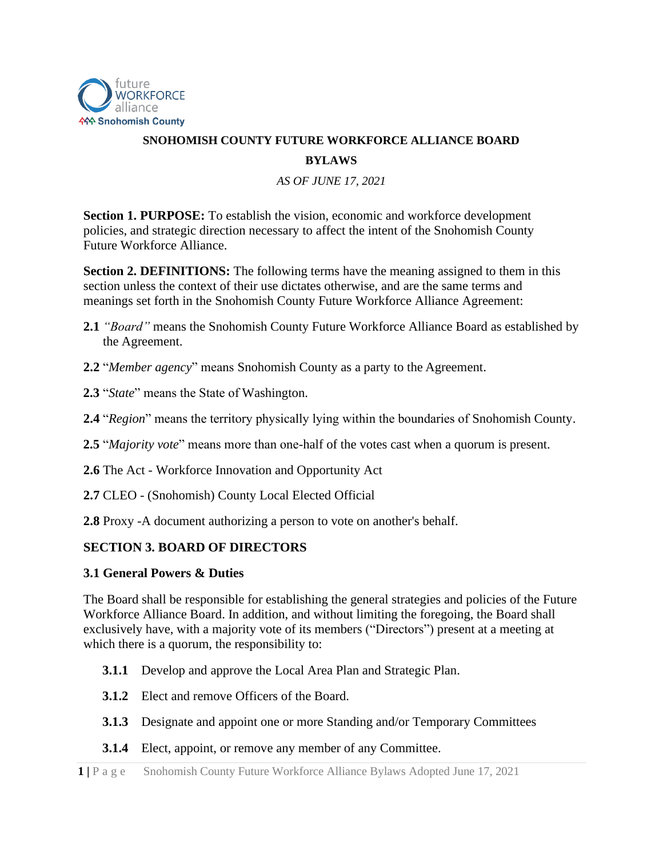

# **SNOHOMISH COUNTY FUTURE WORKFORCE ALLIANCE BOARD BYLAWS**

*AS OF JUNE 17, 2021*

**Section 1. PURPOSE:** To establish the vision, economic and workforce development policies, and strategic direction necessary to affect the intent of the Snohomish County Future Workforce Alliance.

**Section 2. DEFINITIONS:** The following terms have the meaning assigned to them in this section unless the context of their use dictates otherwise, and are the same terms and meanings set forth in the Snohomish County Future Workforce Alliance Agreement:

- **2.1** *"Board"* means the Snohomish County Future Workforce Alliance Board as established by the Agreement.
- **2.2** "*Member agency*" means Snohomish County as a party to the Agreement.
- **2.3** "*State*" means the State of Washington.
- **2.4** "*Region*" means the territory physically lying within the boundaries of Snohomish County.
- **2.5** "*Majority vote*" means more than one-half of the votes cast when a quorum is present.
- **2.6** The Act Workforce Innovation and Opportunity Act
- **2.7** CLEO (Snohomish) County Local Elected Official
- **2.8** Proxy -A document authorizing a person to vote on another's behalf.

### **SECTION 3. BOARD OF DIRECTORS**

#### **3.1 General Powers & Duties**

The Board shall be responsible for establishing the general strategies and policies of the Future Workforce Alliance Board. In addition, and without limiting the foregoing, the Board shall exclusively have, with a majority vote of its members ("Directors") present at a meeting at which there is a quorum, the responsibility to:

- **3.1.1** Develop and approve the Local Area Plan and Strategic Plan.
- **3.1.2** Elect and remove Officers of the Board.
- **3.1.3** Designate and appoint one or more Standing and/or Temporary Committees
- **3.1.4** Elect, appoint, or remove any member of any Committee.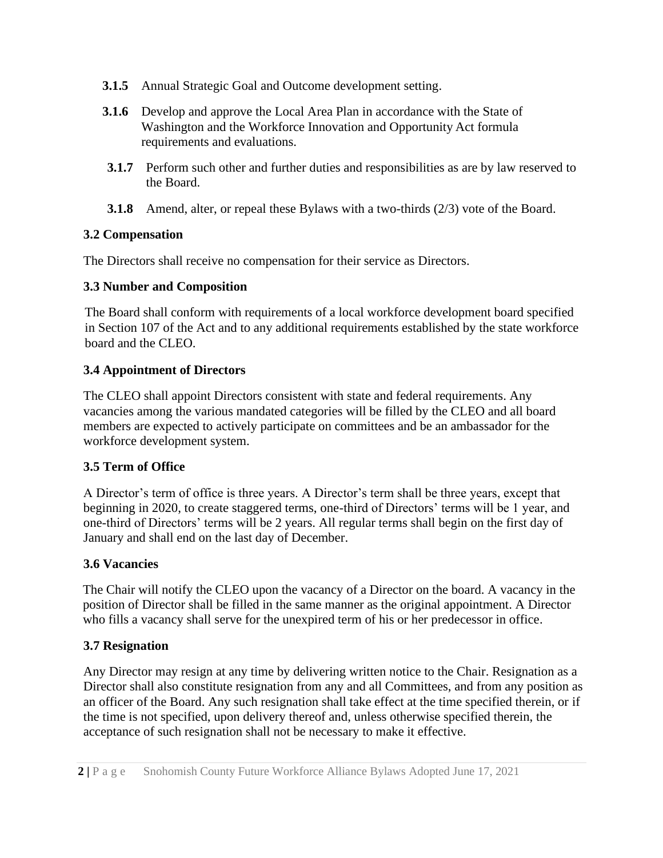- **3.1.5** Annual Strategic Goal and Outcome development setting.
- **3.1.6** Develop and approve the Local Area Plan in accordance with the State of Washington and the Workforce Innovation and Opportunity Act formula requirements and evaluations.
- **3.1.7** Perform such other and further duties and responsibilities as are by law reserved to the Board.
- **3.1.8** Amend, alter, or repeal these Bylaws with a two-thirds (2/3) vote of the Board.

### **3.2 Compensation**

The Directors shall receive no compensation for their service as Directors.

#### **3.3 Number and Composition**

The Board shall conform with requirements of a local workforce development board specified in Section 107 of the Act and to any additional requirements established by the state workforce board and the CLEO.

### **3.4 Appointment of Directors**

The CLEO shall appoint Directors consistent with state and federal requirements. Any vacancies among the various mandated categories will be filled by the CLEO and all board members are expected to actively participate on committees and be an ambassador for the workforce development system.

### **3.5 Term of Office**

A Director's term of office is three years. A Director's term shall be three years, except that beginning in 2020, to create staggered terms, one-third of Directors' terms will be 1 year, and one-third of Directors' terms will be 2 years. All regular terms shall begin on the first day of January and shall end on the last day of December.

### **3.6 Vacancies**

The Chair will notify the CLEO upon the vacancy of a Director on the board. A vacancy in the position of Director shall be filled in the same manner as the original appointment. A Director who fills a vacancy shall serve for the unexpired term of his or her predecessor in office.

### **3.7 Resignation**

Any Director may resign at any time by delivering written notice to the Chair. Resignation as a Director shall also constitute resignation from any and all Committees, and from any position as an officer of the Board. Any such resignation shall take effect at the time specified therein, or if the time is not specified, upon delivery thereof and, unless otherwise specified therein, the acceptance of such resignation shall not be necessary to make it effective.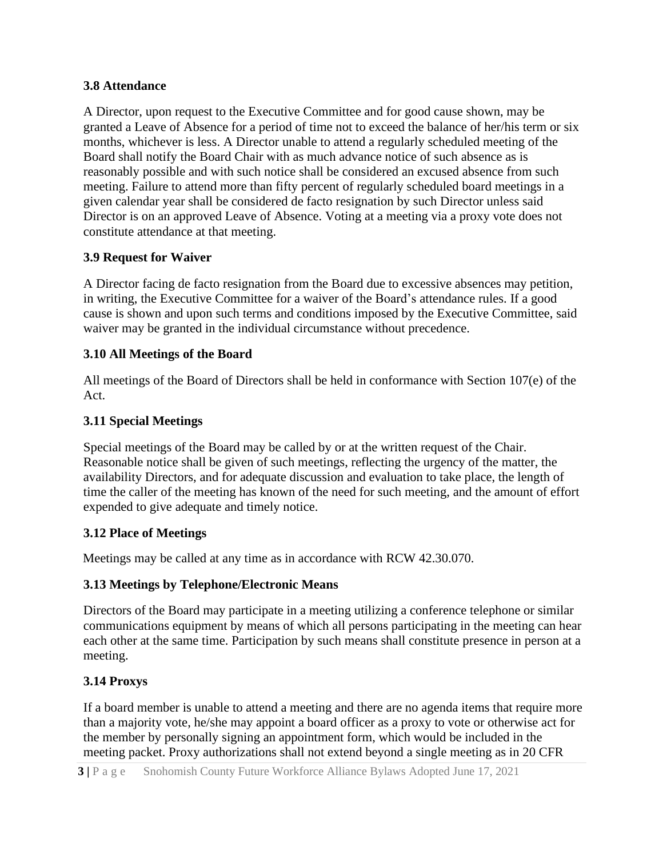### **3.8 Attendance**

A Director, upon request to the Executive Committee and for good cause shown, may be granted a Leave of Absence for a period of time not to exceed the balance of her/his term or six months, whichever is less. A Director unable to attend a regularly scheduled meeting of the Board shall notify the Board Chair with as much advance notice of such absence as is reasonably possible and with such notice shall be considered an excused absence from such meeting. Failure to attend more than fifty percent of regularly scheduled board meetings in a given calendar year shall be considered de facto resignation by such Director unless said Director is on an approved Leave of Absence. Voting at a meeting via a proxy vote does not constitute attendance at that meeting.

## **3.9 Request for Waiver**

A Director facing de facto resignation from the Board due to excessive absences may petition, in writing, the Executive Committee for a waiver of the Board's attendance rules. If a good cause is shown and upon such terms and conditions imposed by the Executive Committee, said waiver may be granted in the individual circumstance without precedence.

## **3.10 All Meetings of the Board**

All meetings of the Board of Directors shall be held in conformance with Section 107(e) of the Act.

## **3.11 Special Meetings**

Special meetings of the Board may be called by or at the written request of the Chair. Reasonable notice shall be given of such meetings, reflecting the urgency of the matter, the availability Directors, and for adequate discussion and evaluation to take place, the length of time the caller of the meeting has known of the need for such meeting, and the amount of effort expended to give adequate and timely notice.

### **3.12 Place of Meetings**

Meetings may be called at any time as in accordance with RCW 42.30.070.

# **3.13 Meetings by Telephone/Electronic Means**

Directors of the Board may participate in a meeting utilizing a conference telephone or similar communications equipment by means of which all persons participating in the meeting can hear each other at the same time. Participation by such means shall constitute presence in person at a meeting.

# **3.14 Proxys**

If a board member is unable to attend a meeting and there are no agenda items that require more than a majority vote, he/she may appoint a board officer as a proxy to vote or otherwise act for the member by personally signing an appointment form, which would be included in the meeting packet. Proxy authorizations shall not extend beyond a single meeting as in 20 CFR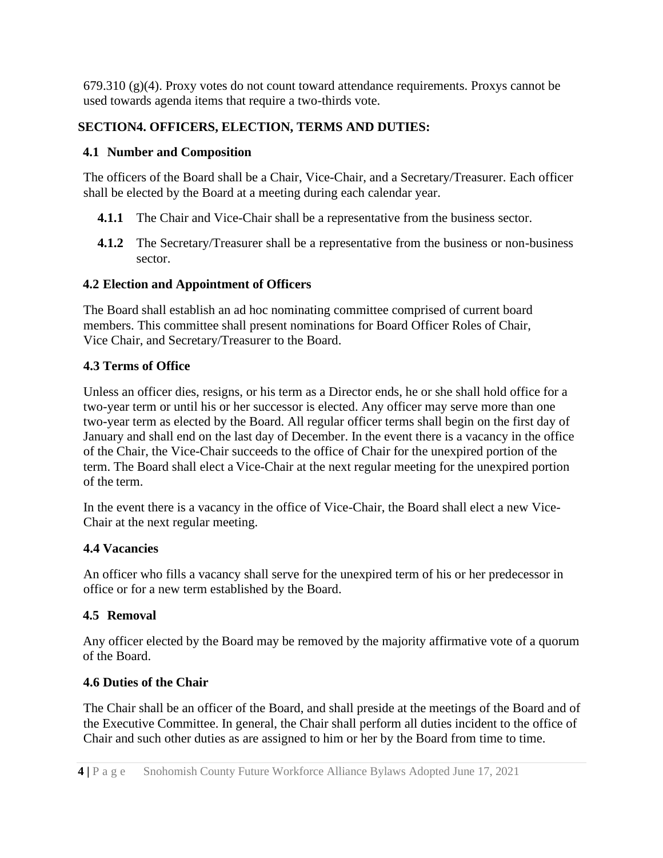$679.310$  (g)(4). Proxy votes do not count toward attendance requirements. Proxys cannot be used towards agenda items that require a two-thirds vote.

# **SECTION4. OFFICERS, ELECTION, TERMS AND DUTIES:**

#### **4.1 Number and Composition**

The officers of the Board shall be a Chair, Vice-Chair, and a Secretary/Treasurer. Each officer shall be elected by the Board at a meeting during each calendar year.

- **4.1.1** The Chair and Vice-Chair shall be a representative from the business sector.
- **4.1.2** The Secretary/Treasurer shall be a representative from the business or non-business sector.

### **4.2 Election and Appointment of Officers**

The Board shall establish an ad hoc nominating committee comprised of current board members. This committee shall present nominations for Board Officer Roles of Chair, Vice Chair, and Secretary/Treasurer to the Board.

## **4.3 Terms of Office**

Unless an officer dies, resigns, or his term as a Director ends, he or she shall hold office for a two-year term or until his or her successor is elected. Any officer may serve more than one two-year term as elected by the Board. All regular officer terms shall begin on the first day of January and shall end on the last day of December. In the event there is a vacancy in the office of the Chair, the Vice-Chair succeeds to the office of Chair for the unexpired portion of the term. The Board shall elect a Vice-Chair at the next regular meeting for the unexpired portion of the term.

In the event there is a vacancy in the office of Vice-Chair, the Board shall elect a new Vice-Chair at the next regular meeting.

### **4.4 Vacancies**

An officer who fills a vacancy shall serve for the unexpired term of his or her predecessor in office or for a new term established by the Board.

# **4.5 Removal**

Any officer elected by the Board may be removed by the majority affirmative vote of a quorum of the Board.

### **4.6 Duties of the Chair**

The Chair shall be an officer of the Board, and shall preside at the meetings of the Board and of the Executive Committee. In general, the Chair shall perform all duties incident to the office of Chair and such other duties as are assigned to him or her by the Board from time to time.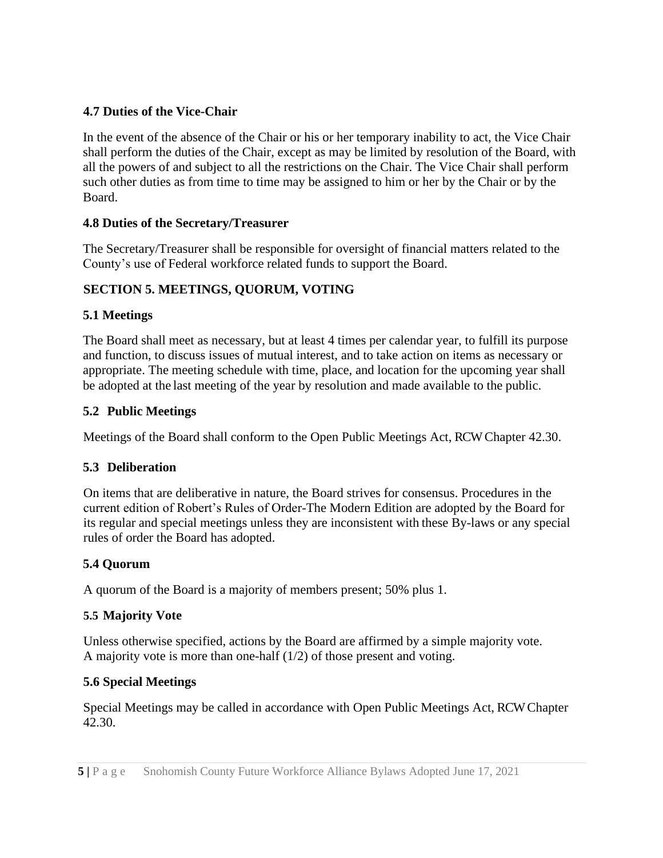# **4.7 Duties of the Vice-Chair**

In the event of the absence of the Chair or his or her temporary inability to act, the Vice Chair shall perform the duties of the Chair, except as may be limited by resolution of the Board, with all the powers of and subject to all the restrictions on the Chair. The Vice Chair shall perform such other duties as from time to time may be assigned to him or her by the Chair or by the Board.

## **4.8 Duties of the Secretary/Treasurer**

The Secretary/Treasurer shall be responsible for oversight of financial matters related to the County's use of Federal workforce related funds to support the Board.

# **SECTION 5. MEETINGS, QUORUM, VOTING**

## **5.1 Meetings**

The Board shall meet as necessary, but at least 4 times per calendar year, to fulfill its purpose and function, to discuss issues of mutual interest, and to take action on items as necessary or appropriate. The meeting schedule with time, place, and location for the upcoming year shall be adopted at the last meeting of the year by resolution and made available to the public.

## **5.2 Public Meetings**

Meetings of the Board shall conform to the Open Public Meetings Act, RCW Chapter 42.30.

### **5.3 Deliberation**

On items that are deliberative in nature, the Board strives for consensus. Procedures in the current edition of Robert's Rules of Order-The Modern Edition are adopted by the Board for its regular and special meetings unless they are inconsistent with these By-laws or any special rules of order the Board has adopted.

# **5.4 Quorum**

A quorum of the Board is a majority of members present; 50% plus 1.

### **5.5 Majority Vote**

Unless otherwise specified, actions by the Board are affirmed by a simple majority vote. A majority vote is more than one-half (1/2) of those present and voting.

### **5.6 Special Meetings**

Special Meetings may be called in accordance with Open Public Meetings Act, RCW Chapter 42.30.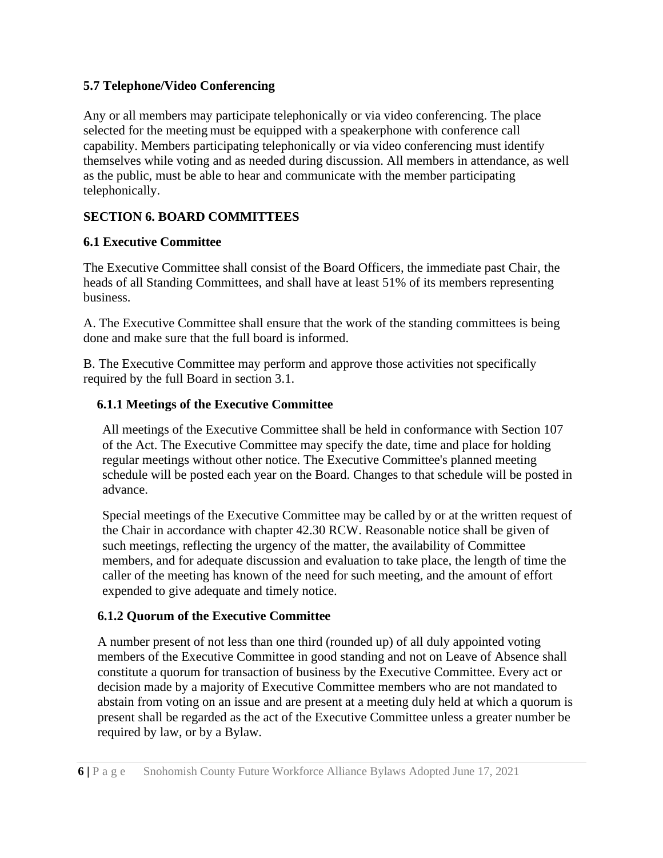## **5.7 Telephone/Video Conferencing**

Any or all members may participate telephonically or via video conferencing. The place selected for the meeting must be equipped with a speakerphone with conference call capability. Members participating telephonically or via video conferencing must identify themselves while voting and as needed during discussion. All members in attendance, as well as the public, must be able to hear and communicate with the member participating telephonically.

# **SECTION 6. BOARD COMMITTEES**

## **6.1 Executive Committee**

The Executive Committee shall consist of the Board Officers, the immediate past Chair, the heads of all Standing Committees, and shall have at least 51% of its members representing business.

A. The Executive Committee shall ensure that the work of the standing committees is being done and make sure that the full board is informed.

B. The Executive Committee may perform and approve those activities not specifically required by the full Board in section 3.1.

### **6.1.1 Meetings of the Executive Committee**

All meetings of the Executive Committee shall be held in conformance with Section 107 of the Act. The Executive Committee may specify the date, time and place for holding regular meetings without other notice. The Executive Committee's planned meeting schedule will be posted each year on the Board. Changes to that schedule will be posted in advance.

Special meetings of the Executive Committee may be called by or at the written request of the Chair in accordance with chapter 42.30 RCW. Reasonable notice shall be given of such meetings, reflecting the urgency of the matter, the availability of Committee members, and for adequate discussion and evaluation to take place, the length of time the caller of the meeting has known of the need for such meeting, and the amount of effort expended to give adequate and timely notice.

# **6.1.2 Quorum of the Executive Committee**

A number present of not less than one third (rounded up) of all duly appointed voting members of the Executive Committee in good standing and not on Leave of Absence shall constitute a quorum for transaction of business by the Executive Committee. Every act or decision made by a majority of Executive Committee members who are not mandated to abstain from voting on an issue and are present at a meeting duly held at which a quorum is present shall be regarded as the act of the Executive Committee unless a greater number be required by law, or by a Bylaw.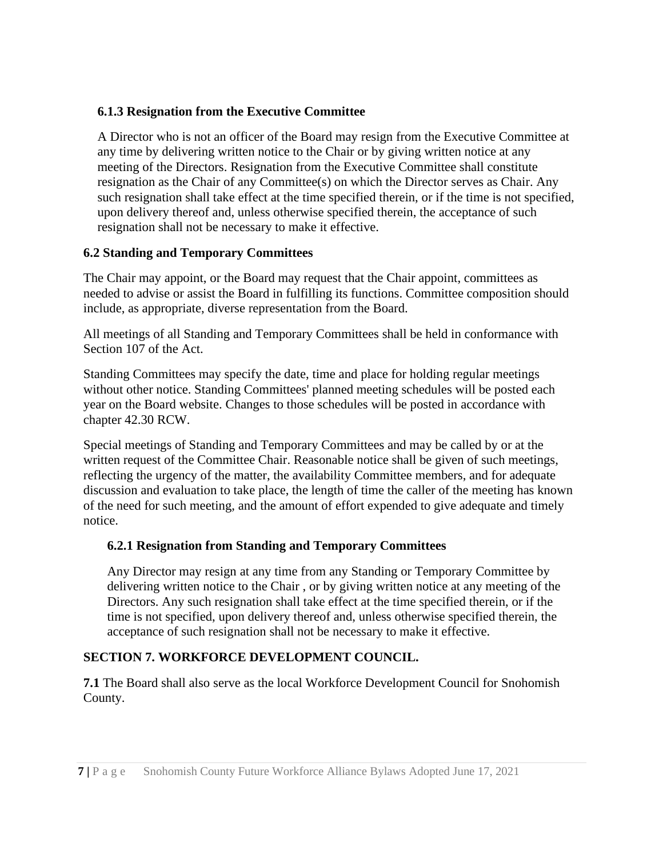### **6.1.3 Resignation from the Executive Committee**

A Director who is not an officer of the Board may resign from the Executive Committee at any time by delivering written notice to the Chair or by giving written notice at any meeting of the Directors. Resignation from the Executive Committee shall constitute resignation as the Chair of any Committee(s) on which the Director serves as Chair. Any such resignation shall take effect at the time specified therein, or if the time is not specified, upon delivery thereof and, unless otherwise specified therein, the acceptance of such resignation shall not be necessary to make it effective.

## **6.2 Standing and Temporary Committees**

The Chair may appoint, or the Board may request that the Chair appoint, committees as needed to advise or assist the Board in fulfilling its functions. Committee composition should include, as appropriate, diverse representation from the Board.

All meetings of all Standing and Temporary Committees shall be held in conformance with Section 107 of the Act.

Standing Committees may specify the date, time and place for holding regular meetings without other notice. Standing Committees' planned meeting schedules will be posted each year on the Board website. Changes to those schedules will be posted in accordance with chapter 42.30 RCW.

Special meetings of Standing and Temporary Committees and may be called by or at the written request of the Committee Chair. Reasonable notice shall be given of such meetings, reflecting the urgency of the matter, the availability Committee members, and for adequate discussion and evaluation to take place, the length of time the caller of the meeting has known of the need for such meeting, and the amount of effort expended to give adequate and timely notice.

# **6.2.1 Resignation from Standing and Temporary Committees**

Any Director may resign at any time from any Standing or Temporary Committee by delivering written notice to the Chair , or by giving written notice at any meeting of the Directors. Any such resignation shall take effect at the time specified therein, or if the time is not specified, upon delivery thereof and, unless otherwise specified therein, the acceptance of such resignation shall not be necessary to make it effective.

# **SECTION 7. WORKFORCE DEVELOPMENT COUNCIL.**

**7.1** The Board shall also serve as the local Workforce Development Council for Snohomish County.